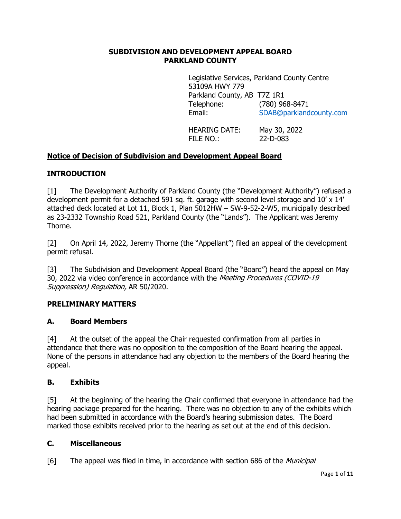### **SUBDIVISION AND DEVELOPMENT APPEAL BOARD PARKLAND COUNTY**

Legislative Services, Parkland County Centre 53109A HWY 779 Parkland County, AB T7Z 1R1 Telephone: (780) 968-8471 Email: [SDAB@parklandcounty.com](mailto:SDAB@parklandcounty.com) 

HEARING DATE: May 30, 2022 FILE NO.: 22-D-083

# **Notice of Decision of Subdivision and Development Appeal Board**

## **INTRODUCTION**

[1] The Development Authority of Parkland County (the "Development Authority") refused a development permit for a detached 591 sq. ft. garage with second level storage and 10' x 14' attached deck located at Lot 11, Block 1, Plan 5012HW – SW-9-52-2-W5, municipally described as 23-2332 Township Road 521, Parkland County (the "Lands"). The Applicant was Jeremy Thorne.

[2] On April 14, 2022, Jeremy Thorne (the "Appellant") filed an appeal of the development permit refusal.

[3] The Subdivision and Development Appeal Board (the "Board") heard the appeal on May 30, 2022 via video conference in accordance with the Meeting Procedures (COVID-19 Suppression) Regulation, AR 50/2020.

## **PRELIMINARY MATTERS**

## **A. Board Members**

[4] At the outset of the appeal the Chair requested confirmation from all parties in attendance that there was no opposition to the composition of the Board hearing the appeal. None of the persons in attendance had any objection to the members of the Board hearing the appeal.

## **B. Exhibits**

[5] At the beginning of the hearing the Chair confirmed that everyone in attendance had the hearing package prepared for the hearing. There was no objection to any of the exhibits which had been submitted in accordance with the Board's hearing submission dates. The Board marked those exhibits received prior to the hearing as set out at the end of this decision.

## **C. Miscellaneous**

[6] The appeal was filed in time, in accordance with section 686 of the *Municipal*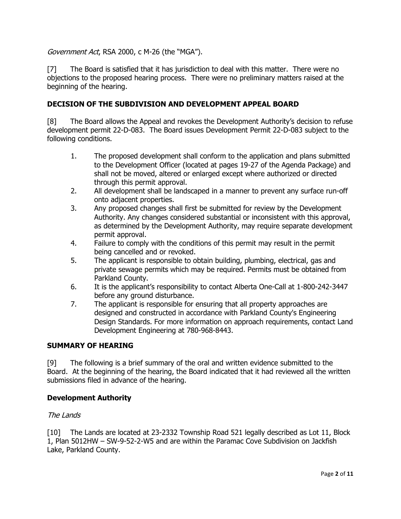## Government Act, RSA 2000, c M-26 (the "MGA").

[7] The Board is satisfied that it has jurisdiction to deal with this matter. There were no objections to the proposed hearing process. There were no preliminary matters raised at the beginning of the hearing.

## **DECISION OF THE SUBDIVISION AND DEVELOPMENT APPEAL BOARD**

[8] The Board allows the Appeal and revokes the Development Authority's decision to refuse development permit 22-D-083. The Board issues Development Permit 22-D-083 subject to the following conditions.

- 1. The proposed development shall conform to the application and plans submitted to the Development Officer (located at pages 19-27 of the Agenda Package) and shall not be moved, altered or enlarged except where authorized or directed through this permit approval.
- 2. All development shall be landscaped in a manner to prevent any surface run-off onto adjacent properties.
- 3. Any proposed changes shall first be submitted for review by the Development Authority. Any changes considered substantial or inconsistent with this approval, as determined by the Development Authority, may require separate development permit approval.
- 4. Failure to comply with the conditions of this permit may result in the permit being cancelled and or revoked.
- 5. The applicant is responsible to obtain building, plumbing, electrical, gas and private sewage permits which may be required. Permits must be obtained from Parkland County.
- 6. It is the applicant's responsibility to contact Alberta One-Call at 1-800-242-3447 before any ground disturbance.
- 7. The applicant is responsible for ensuring that all property approaches are designed and constructed in accordance with Parkland County's Engineering Design Standards. For more information on approach requirements, contact Land Development Engineering at 780-968-8443.

## **SUMMARY OF HEARING**

[9] The following is a brief summary of the oral and written evidence submitted to the Board. At the beginning of the hearing, the Board indicated that it had reviewed all the written submissions filed in advance of the hearing.

## **Development Authority**

#### The Lands

[10] The Lands are located at 23-2332 Township Road 521 legally described as Lot 11, Block 1, Plan 5012HW – SW-9-52-2-W5 and are within the Paramac Cove Subdivision on Jackfish Lake, Parkland County.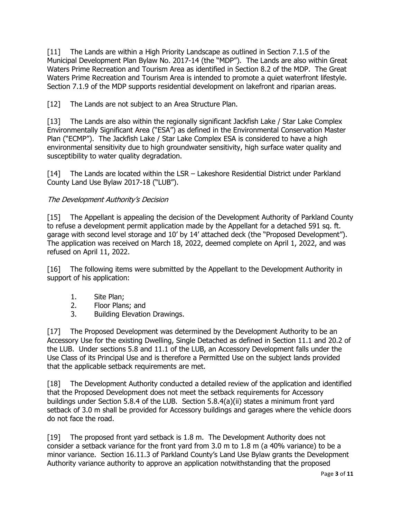[11] The Lands are within a High Priority Landscape as outlined in Section 7.1.5 of the Municipal Development Plan Bylaw No. 2017-14 (the "MDP"). The Lands are also within Great Waters Prime Recreation and Tourism Area as identified in Section 8.2 of the MDP. The Great Waters Prime Recreation and Tourism Area is intended to promote a quiet waterfront lifestyle. Section 7.1.9 of the MDP supports residential development on lakefront and riparian areas.

[12] The Lands are not subject to an Area Structure Plan.

[13] The Lands are also within the regionally significant Jackfish Lake / Star Lake Complex Environmentally Significant Area ("ESA") as defined in the Environmental Conservation Master Plan ("ECMP"). The Jackfish Lake / Star Lake Complex ESA is considered to have a high environmental sensitivity due to high groundwater sensitivity, high surface water quality and susceptibility to water quality degradation.

[14] The Lands are located within the LSR – Lakeshore Residential District under Parkland County Land Use Bylaw 2017-18 ("LUB").

# The Development Authority's Decision

[15] The Appellant is appealing the decision of the Development Authority of Parkland County to refuse a development permit application made by the Appellant for a detached 591 sq. ft. garage with second level storage and 10' by 14' attached deck (the "Proposed Development"). The application was received on March 18, 2022, deemed complete on April 1, 2022, and was refused on April 11, 2022.

[16] The following items were submitted by the Appellant to the Development Authority in support of his application:

- 1. Site Plan;
- 2. Floor Plans; and<br>3. Building Elevation
- Building Elevation Drawings.

[17] The Proposed Development was determined by the Development Authority to be an Accessory Use for the existing Dwelling, Single Detached as defined in Section 11.1 and 20.2 of the LUB. Under sections 5.8 and 11.1 of the LUB, an Accessory Development falls under the Use Class of its Principal Use and is therefore a Permitted Use on the subject lands provided that the applicable setback requirements are met.

[18] The Development Authority conducted a detailed review of the application and identified that the Proposed Development does not meet the setback requirements for Accessory buildings under Section 5.8.4 of the LUB. Section 5.8.4(a)(ii) states a minimum front yard setback of 3.0 m shall be provided for Accessory buildings and garages where the vehicle doors do not face the road.

[19] The proposed front yard setback is 1.8 m. The Development Authority does not consider a setback variance for the front yard from 3.0 m to 1.8 m (a 40% variance) to be a minor variance. Section 16.11.3 of Parkland County's Land Use Bylaw grants the Development Authority variance authority to approve an application notwithstanding that the proposed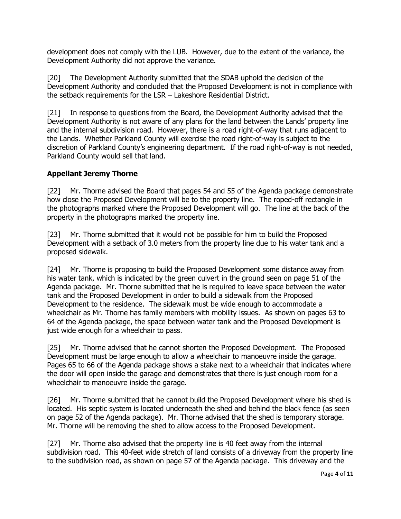development does not comply with the LUB. However, due to the extent of the variance, the Development Authority did not approve the variance.

[20] The Development Authority submitted that the SDAB uphold the decision of the Development Authority and concluded that the Proposed Development is not in compliance with the setback requirements for the LSR – Lakeshore Residential District.

[21] In response to questions from the Board, the Development Authority advised that the Development Authority is not aware of any plans for the land between the Lands' property line and the internal subdivision road. However, there is a road right-of-way that runs adjacent to the Lands. Whether Parkland County will exercise the road right-of-way is subject to the discretion of Parkland County's engineering department. If the road right-of-way is not needed, Parkland County would sell that land.

## **Appellant Jeremy Thorne**

[22] Mr. Thorne advised the Board that pages 54 and 55 of the Agenda package demonstrate how close the Proposed Development will be to the property line. The roped-off rectangle in the photographs marked where the Proposed Development will go. The line at the back of the property in the photographs marked the property line.

[23] Mr. Thorne submitted that it would not be possible for him to build the Proposed Development with a setback of 3.0 meters from the property line due to his water tank and a proposed sidewalk.

[24] Mr. Thorne is proposing to build the Proposed Development some distance away from his water tank, which is indicated by the green culvert in the ground seen on page 51 of the Agenda package. Mr. Thorne submitted that he is required to leave space between the water tank and the Proposed Development in order to build a sidewalk from the Proposed Development to the residence. The sidewalk must be wide enough to accommodate a wheelchair as Mr. Thorne has family members with mobility issues. As shown on pages 63 to 64 of the Agenda package, the space between water tank and the Proposed Development is just wide enough for a wheelchair to pass.

[25] Mr. Thorne advised that he cannot shorten the Proposed Development. The Proposed Development must be large enough to allow a wheelchair to manoeuvre inside the garage. Pages 65 to 66 of the Agenda package shows a stake next to a wheelchair that indicates where the door will open inside the garage and demonstrates that there is just enough room for a wheelchair to manoeuvre inside the garage.

[26] Mr. Thorne submitted that he cannot build the Proposed Development where his shed is located. His septic system is located underneath the shed and behind the black fence (as seen on page 52 of the Agenda package). Mr. Thorne advised that the shed is temporary storage. Mr. Thorne will be removing the shed to allow access to the Proposed Development.

[27] Mr. Thorne also advised that the property line is 40 feet away from the internal subdivision road. This 40-feet wide stretch of land consists of a driveway from the property line to the subdivision road, as shown on page 57 of the Agenda package. This driveway and the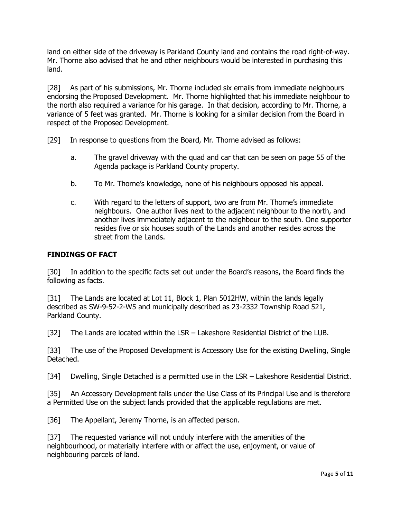land on either side of the driveway is Parkland County land and contains the road right-of-way. Mr. Thorne also advised that he and other neighbours would be interested in purchasing this land.

[28] As part of his submissions, Mr. Thorne included six emails from immediate neighbours endorsing the Proposed Development. Mr. Thorne highlighted that his immediate neighbour to the north also required a variance for his garage. In that decision, according to Mr. Thorne, a variance of 5 feet was granted. Mr. Thorne is looking for a similar decision from the Board in respect of the Proposed Development.

[29] In response to questions from the Board, Mr. Thorne advised as follows:

- a. The gravel driveway with the quad and car that can be seen on page 55 of the Agenda package is Parkland County property.
- b. To Mr. Thorne's knowledge, none of his neighbours opposed his appeal.
- c. With regard to the letters of support, two are from Mr. Thorne's immediate neighbours. One author lives next to the adjacent neighbour to the north, and another lives immediately adjacent to the neighbour to the south. One supporter resides five or six houses south of the Lands and another resides across the street from the Lands.

## **FINDINGS OF FACT**

[30] In addition to the specific facts set out under the Board's reasons, the Board finds the following as facts.

[31] The Lands are located at Lot 11, Block 1, Plan 5012HW, within the lands legally described as SW-9-52-2-W5 and municipally described as 23-2332 Township Road 521, Parkland County.

[32] The Lands are located within the LSR – Lakeshore Residential District of the LUB.

[33] The use of the Proposed Development is Accessory Use for the existing Dwelling, Single Detached.

[34] Dwelling, Single Detached is a permitted use in the LSR – Lakeshore Residential District.

[35] An Accessory Development falls under the Use Class of its Principal Use and is therefore a Permitted Use on the subject lands provided that the applicable regulations are met.

[36] The Appellant, Jeremy Thorne, is an affected person.

[37] The requested variance will not unduly interfere with the amenities of the neighbourhood, or materially interfere with or affect the use, enjoyment, or value of neighbouring parcels of land.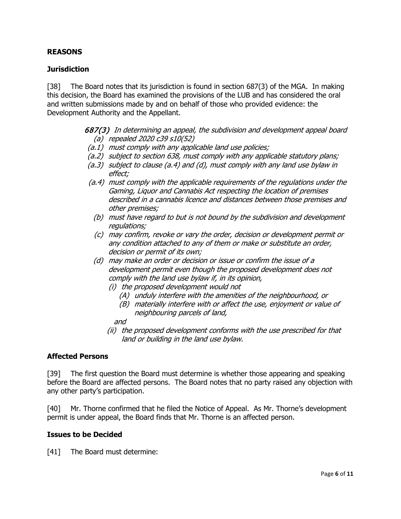## **REASONS**

## **Jurisdiction**

[38] The Board notes that its jurisdiction is found in section 687(3) of the MGA. In making this decision, the Board has examined the provisions of the LUB and has considered the oral and written submissions made by and on behalf of those who provided evidence: the Development Authority and the Appellant.

> 687(3) In determining an appeal, the subdivision and development appeal board (a) repealed 2020 c39 s10(52)

- (a.1) must comply with any applicable land use policies;
- (a.2) subject to section 638, must comply with any applicable statutory plans;
- (a.3) subject to clause (a.4) and (d), must comply with any land use bylaw in effect;
- (a.4) must comply with the applicable requirements of the regulations under the Gaming, Liquor and Cannabis Act respecting the location of premises described in a cannabis licence and distances between those premises and other premises;
	- (b) must have regard to but is not bound by the subdivision and development regulations;
	- (c) may confirm, revoke or vary the order, decision or development permit or any condition attached to any of them or make or substitute an order, decision or permit of its own;
	- (d) may make an order or decision or issue or confirm the issue of a development permit even though the proposed development does not comply with the land use bylaw if, in its opinion,
		- (i) the proposed development would not
			- (A) unduly interfere with the amenities of the neighbourhood, or
			- (B) materially interfere with or affect the use, enjoyment or value of neighbouring parcels of land,
			- and
		- (ii) the proposed development conforms with the use prescribed for that land or building in the land use bylaw.

#### **Affected Persons**

[39] The first question the Board must determine is whether those appearing and speaking before the Board are affected persons. The Board notes that no party raised any objection with any other party's participation.

[40] Mr. Thorne confirmed that he filed the Notice of Appeal. As Mr. Thorne's development permit is under appeal, the Board finds that Mr. Thorne is an affected person.

#### **Issues to be Decided**

[41] The Board must determine: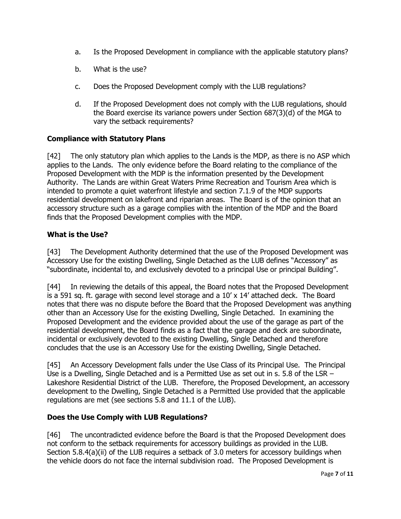- a. Is the Proposed Development in compliance with the applicable statutory plans?
- b. What is the use?
- c. Does the Proposed Development comply with the LUB regulations?
- d. If the Proposed Development does not comply with the LUB regulations, should the Board exercise its variance powers under Section 687(3)(d) of the MGA to vary the setback requirements?

## **Compliance with Statutory Plans**

[42] The only statutory plan which applies to the Lands is the MDP, as there is no ASP which applies to the Lands. The only evidence before the Board relating to the compliance of the Proposed Development with the MDP is the information presented by the Development Authority. The Lands are within Great Waters Prime Recreation and Tourism Area which is intended to promote a quiet waterfront lifestyle and section 7.1.9 of the MDP supports residential development on lakefront and riparian areas. The Board is of the opinion that an accessory structure such as a garage complies with the intention of the MDP and the Board finds that the Proposed Development complies with the MDP.

## **What is the Use?**

[43] The Development Authority determined that the use of the Proposed Development was Accessory Use for the existing Dwelling, Single Detached as the LUB defines "Accessory" as "subordinate, incidental to, and exclusively devoted to a principal Use or principal Building".

[44] In reviewing the details of this appeal, the Board notes that the Proposed Development is a 591 sq. ft. garage with second level storage and a 10' x 14' attached deck. The Board notes that there was no dispute before the Board that the Proposed Development was anything other than an Accessory Use for the existing Dwelling, Single Detached. In examining the Proposed Development and the evidence provided about the use of the garage as part of the residential development, the Board finds as a fact that the garage and deck are subordinate, incidental or exclusively devoted to the existing Dwelling, Single Detached and therefore concludes that the use is an Accessory Use for the existing Dwelling, Single Detached.

[45] An Accessory Development falls under the Use Class of its Principal Use. The Principal Use is a Dwelling, Single Detached and is a Permitted Use as set out in s. 5.8 of the LSR – Lakeshore Residential District of the LUB. Therefore, the Proposed Development, an accessory development to the Dwelling, Single Detached is a Permitted Use provided that the applicable regulations are met (see sections 5.8 and 11.1 of the LUB).

## **Does the Use Comply with LUB Regulations?**

[46] The uncontradicted evidence before the Board is that the Proposed Development does not conform to the setback requirements for accessory buildings as provided in the LUB. Section 5.8.4(a)(ii) of the LUB requires a setback of 3.0 meters for accessory buildings when the vehicle doors do not face the internal subdivision road. The Proposed Development is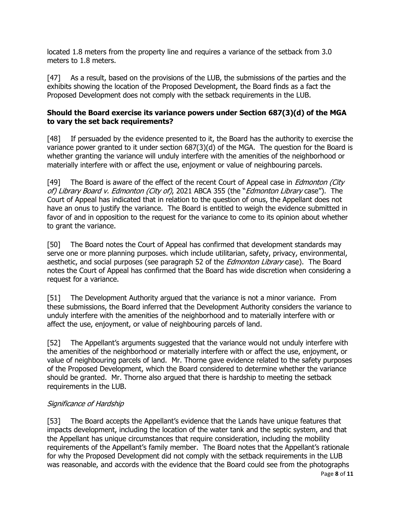located 1.8 meters from the property line and requires a variance of the setback from 3.0 meters to 1.8 meters.

[47] As a result, based on the provisions of the LUB, the submissions of the parties and the exhibits showing the location of the Proposed Development, the Board finds as a fact the Proposed Development does not comply with the setback requirements in the LUB.

## **Should the Board exercise its variance powers under Section 687(3)(d) of the MGA to vary the set back requirements?**

[48] If persuaded by the evidence presented to it, the Board has the authority to exercise the variance power granted to it under section 687(3)(d) of the MGA. The question for the Board is whether granting the variance will unduly interfere with the amenities of the neighborhood or materially interfere with or affect the use, enjoyment or value of neighbouring parcels.

[49] The Board is aware of the effect of the recent Court of Appeal case in *Edmonton (City* of) Library Board v. Edmonton (City of), 2021 ABCA 355 (the "Edmonton Library case"). The Court of Appeal has indicated that in relation to the question of onus, the Appellant does not have an onus to justify the variance. The Board is entitled to weigh the evidence submitted in favor of and in opposition to the request for the variance to come to its opinion about whether to grant the variance.

[50] The Board notes the Court of Appeal has confirmed that development standards may serve one or more planning purposes. which include utilitarian, safety, privacy, environmental, aesthetic, and social purposes (see paragraph 52 of the *Edmonton Library* case). The Board notes the Court of Appeal has confirmed that the Board has wide discretion when considering a request for a variance.

[51] The Development Authority argued that the variance is not a minor variance. From these submissions, the Board inferred that the Development Authority considers the variance to unduly interfere with the amenities of the neighborhood and to materially interfere with or affect the use, enjoyment, or value of neighbouring parcels of land.

[52] The Appellant's arguments suggested that the variance would not unduly interfere with the amenities of the neighborhood or materially interfere with or affect the use, enjoyment, or value of neighbouring parcels of land. Mr. Thorne gave evidence related to the safety purposes of the Proposed Development, which the Board considered to determine whether the variance should be granted. Mr. Thorne also argued that there is hardship to meeting the setback requirements in the LUB.

# Significance of Hardship

[53] The Board accepts the Appellant's evidence that the Lands have unique features that impacts development, including the location of the water tank and the septic system, and that the Appellant has unique circumstances that require consideration, including the mobility requirements of the Appellant's family member. The Board notes that the Appellant's rationale for why the Proposed Development did not comply with the setback requirements in the LUB was reasonable, and accords with the evidence that the Board could see from the photographs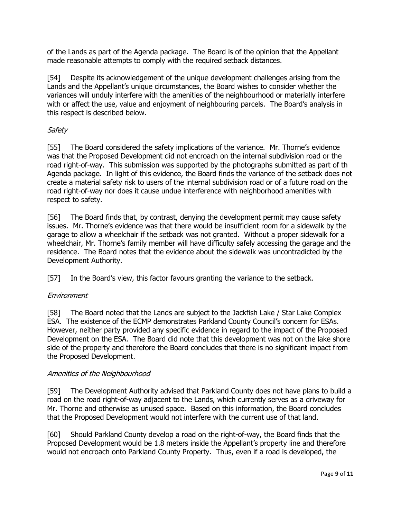of the Lands as part of the Agenda package. The Board is of the opinion that the Appellant made reasonable attempts to comply with the required setback distances.

[54] Despite its acknowledgement of the unique development challenges arising from the Lands and the Appellant's unique circumstances, the Board wishes to consider whether the variances will unduly interfere with the amenities of the neighbourhood or materially interfere with or affect the use, value and enjoyment of neighbouring parcels. The Board's analysis in this respect is described below.

## Safety

[55] The Board considered the safety implications of the variance. Mr. Thorne's evidence was that the Proposed Development did not encroach on the internal subdivision road or the road right-of-way. This submission was supported by the photographs submitted as part of th Agenda package. In light of this evidence, the Board finds the variance of the setback does not create a material safety risk to users of the internal subdivision road or of a future road on the road right-of-way nor does it cause undue interference with neighborhood amenities with respect to safety.

[56] The Board finds that, by contrast, denying the development permit may cause safety issues. Mr. Thorne's evidence was that there would be insufficient room for a sidewalk by the garage to allow a wheelchair if the setback was not granted. Without a proper sidewalk for a wheelchair, Mr. Thorne's family member will have difficulty safely accessing the garage and the residence. The Board notes that the evidence about the sidewalk was uncontradicted by the Development Authority.

[57] In the Board's view, this factor favours granting the variance to the setback.

## Environment

[58] The Board noted that the Lands are subject to the Jackfish Lake / Star Lake Complex ESA. The existence of the ECMP demonstrates Parkland County Council's concern for ESAs. However, neither party provided any specific evidence in regard to the impact of the Proposed Development on the ESA. The Board did note that this development was not on the lake shore side of the property and therefore the Board concludes that there is no significant impact from the Proposed Development.

## Amenities of the Neighbourhood

[59] The Development Authority advised that Parkland County does not have plans to build a road on the road right-of-way adjacent to the Lands, which currently serves as a driveway for Mr. Thorne and otherwise as unused space. Based on this information, the Board concludes that the Proposed Development would not interfere with the current use of that land.

[60] Should Parkland County develop a road on the right-of-way, the Board finds that the Proposed Development would be 1.8 meters inside the Appellant's property line and therefore would not encroach onto Parkland County Property. Thus, even if a road is developed, the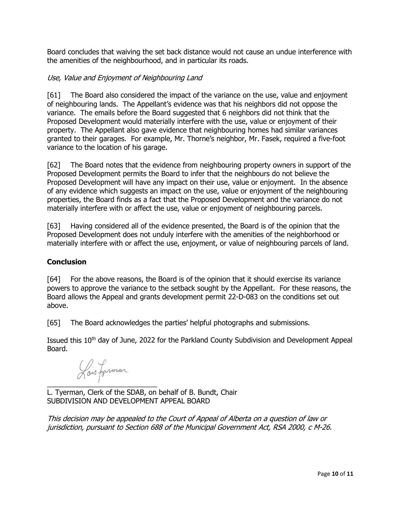Board concludes that waiving the set back distance would not cause an undue interference with the amenities of the neighbourhood, and in particular its roads.

## Use, Value and Enjoyment of Neighbouring Land

[61] The Board also considered the impact of the variance on the use, value and enjoyment of neighbouring lands. The Appellant's evidence was that his neighbors did not oppose the variance. The emails before the Board suggested that 6 neighbors did not think that the Proposed Development would materially interfere with the use, value or enjoyment of their property. The Appellant also gave evidence that neighbouring homes had similar variances granted to their garages. For example, Mr. Thorne's neighbor, Mr. Fasek, required a five-foot variance to the location of his garage.

[62] The Board notes that the evidence from neighbouring property owners in support of the Proposed Development permits the Board to infer that the neighbours do not believe the Proposed Development will have any impact on their use, value or enjoyment. In the absence of any evidence which suggests an impact on the use, value or enjoyment of the neighbouring properties, the Board finds as a fact that the Proposed Development and the variance do not materially interfere with or affect the use, value or enjoyment of neighbouring parcels.

[63] Having considered all of the evidence presented, the Board is of the opinion that the Proposed Development does not unduly interfere with the amenities of the neighborhood or materially interfere with or affect the use, enjoyment, or value of neighbouring parcels of land.

## **Conclusion**

[64] For the above reasons, the Board is of the opinion that it should exercise its variance powers to approve the variance to the setback sought by the Appellant. For these reasons, the Board allows the Appeal and grants development permit 22-D-083 on the conditions set out above.

[65] The Board acknowledges the parties' helpful photographs and submissions.

Issued this 10<sup>th</sup> day of June, 2022 for the Parkland County Subdivision and Development Appeal Board.

Lois fyrmar  $\overline{\phantom{a}}$  , where  $\overline{\phantom{a}}$ 

L. Tyerman, Clerk of the SDAB, on behalf of B. Bundt, Chair SUBDIVISION AND DEVELOPMENT APPEAL BOARD

This decision may be appealed to the Court of Appeal of Alberta on a question of law or jurisdiction, pursuant to Section 688 of the Municipal Government Act, RSA 2000, c M-26.